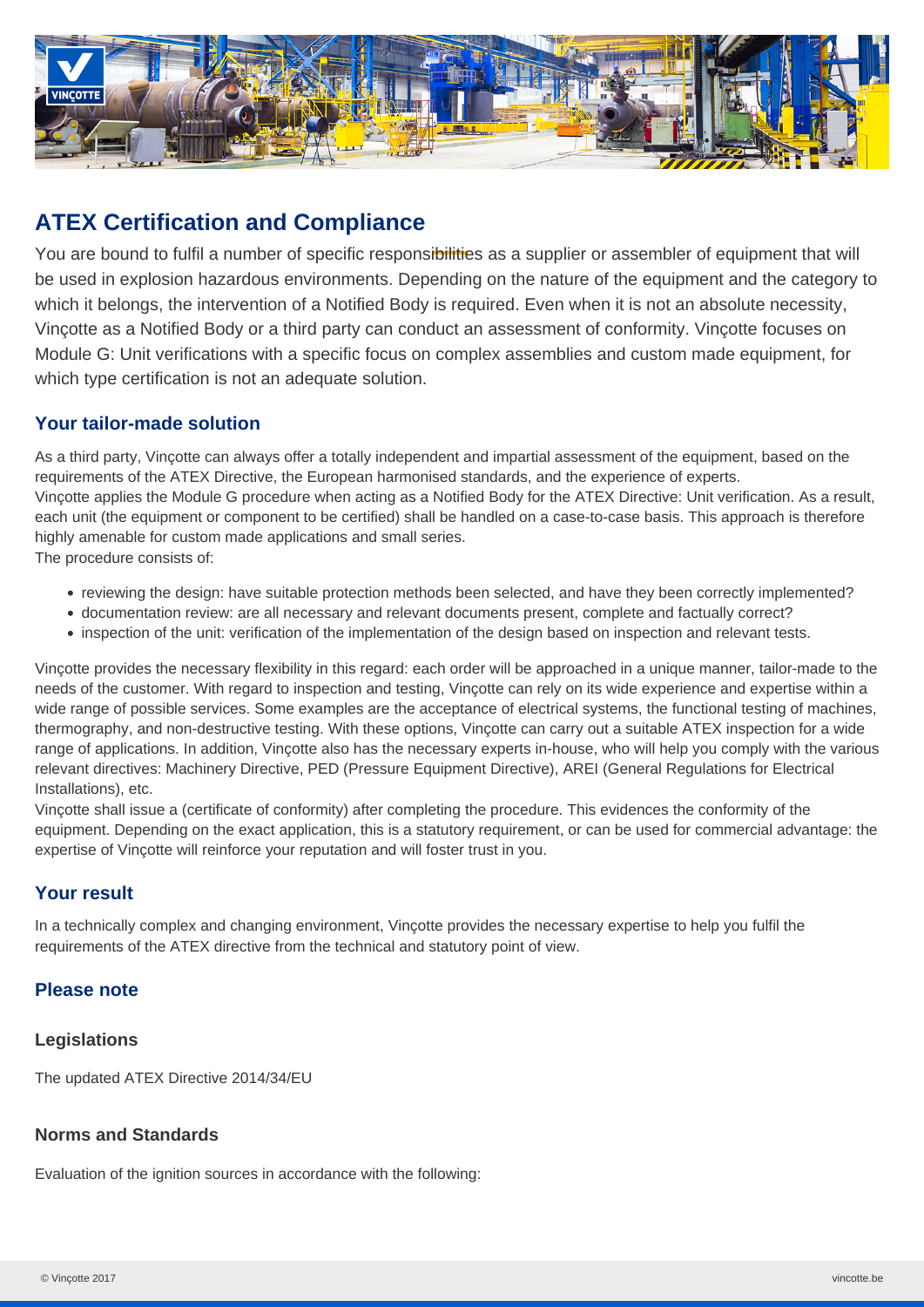

# **ATEX Certification and Compliance**

You are bound to fulfil a number of specific responsibilities as a supplier or assembler of equipment that will be used in explosion hazardous environments. Depending on the nature of the equipment and the category to which it belongs, the intervention of a Notified Body is required. Even when it is not an absolute necessity, Vinçotte as a Notified Body or a third party can conduct an assessment of conformity. Vinçotte focuses on Module G: Unit verifications with a specific focus on complex assemblies and custom made equipment, for which type certification is not an adequate solution.

## **Your tailor-made solution**

As a third party, Vinçotte can always offer a totally independent and impartial assessment of the equipment, based on the requirements of the ATEX Directive, the European harmonised standards, and the experience of experts. Vinçotte applies the Module G procedure when acting as a Notified Body for the ATEX Directive: Unit verification. As a result, each unit (the equipment or component to be certified) shall be handled on a case-to-case basis. This approach is therefore highly amenable for custom made applications and small series. The procedure consists of:

- reviewing the design: have suitable protection methods been selected, and have they been correctly implemented?
- documentation review: are all necessary and relevant documents present, complete and factually correct?
- inspection of the unit: verification of the implementation of the design based on inspection and relevant tests.

Vinçotte provides the necessary flexibility in this regard: each order will be approached in a unique manner, tailor-made to the needs of the customer. With regard to inspection and testing, Vinçotte can rely on its wide experience and expertise within a wide range of possible services. Some examples are the acceptance of electrical systems, the functional testing of machines, thermography, and non-destructive testing. With these options, Vinçotte can carry out a suitable ATEX inspection for a wide range of applications. In addition, Vinçotte also has the necessary experts in-house, who will help you comply with the various relevant directives: Machinery Directive, PED (Pressure Equipment Directive), AREI (General Regulations for Electrical Installations), etc.

Vinçotte shall issue a (certificate of conformity) after completing the procedure. This evidences the conformity of the equipment. Depending on the exact application, this is a statutory requirement, or can be used for commercial advantage: the expertise of Vinçotte will reinforce your reputation and will foster trust in you.

### **Your result**

In a technically complex and changing environment, Vinçotte provides the necessary expertise to help you fulfil the requirements of the ATEX directive from the technical and statutory point of view.

### **Please note**

#### **Legislations**

The updated ATEX Directive 2014/34/EU

### **Norms and Standards**

Evaluation of the ignition sources in accordance with the following: